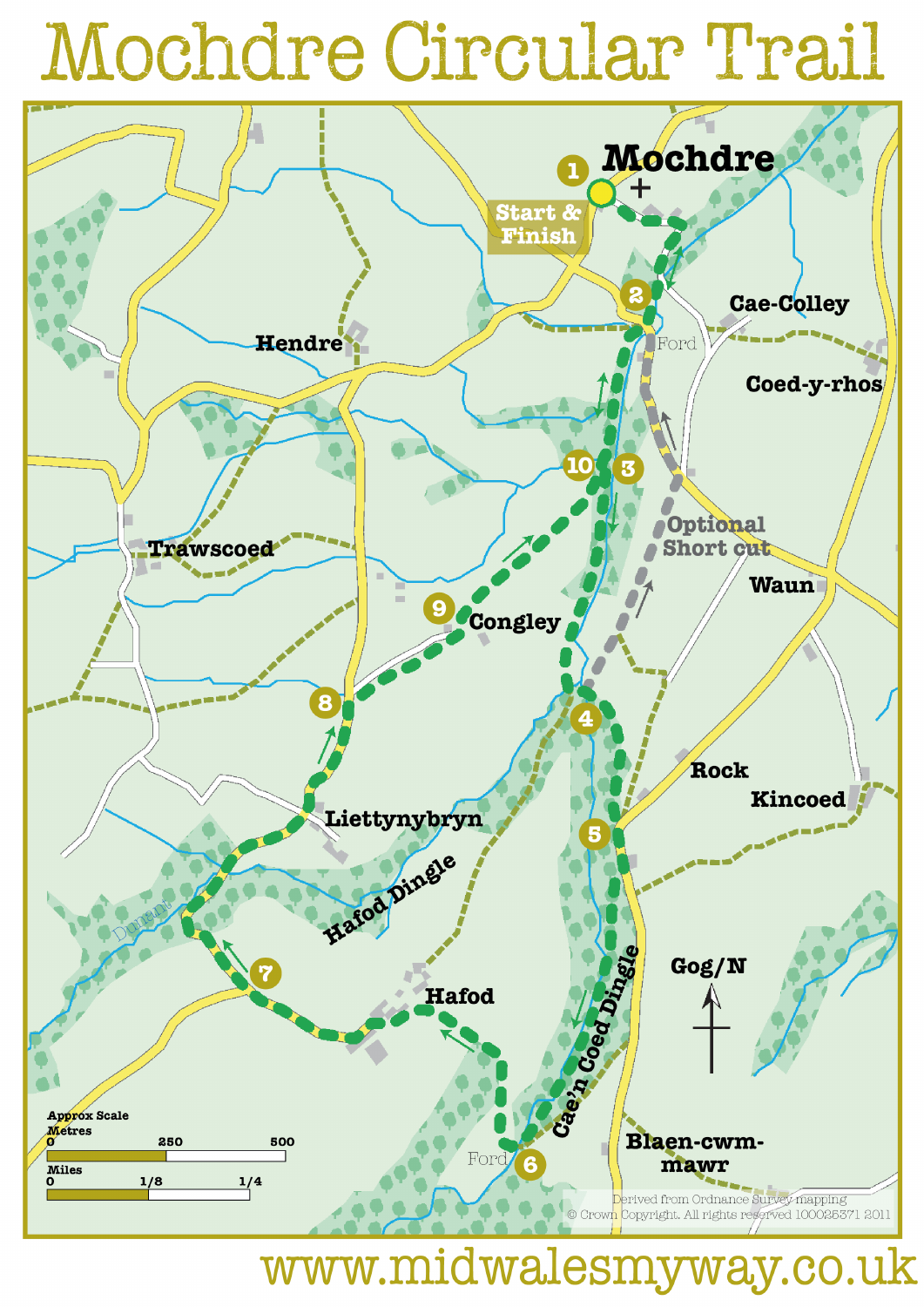## Mochdre Circular Trail



www.midwalesmyway.co.uk